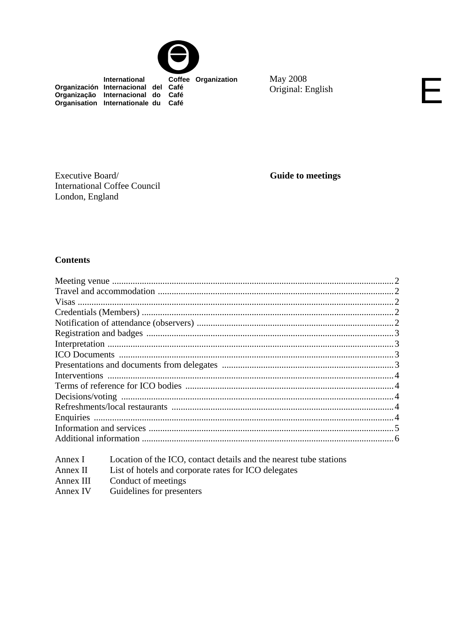

International Coffee Organization Organización Internacional del Café<br>Organização Internacional do Café<br>Organisation Internationale du Café

**May 2008** Original: English

Executive Board/ **International Coffee Council** London, England

**Guide to meetings** 

# **Contents**

| Annex I   | Location of the ICO, contact details and the nearest tube stations |
|-----------|--------------------------------------------------------------------|
| Annex II  | List of hotels and corporate rates for ICO delegates               |
| Annex III | Conduct of meetings                                                |
| Annex IV  | Guidelines for presenters                                          |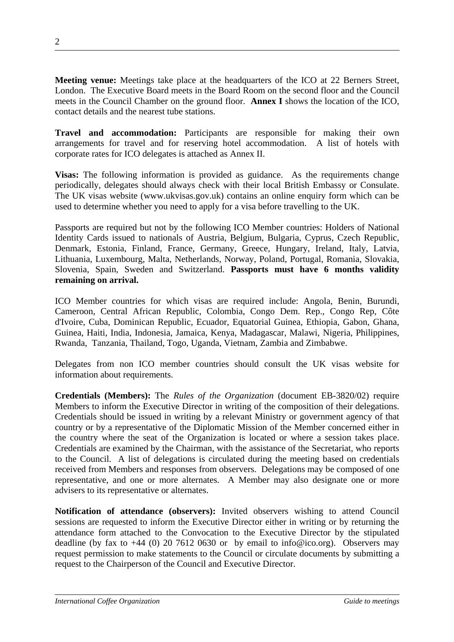**Meeting venue:** Meetings take place at the headquarters of the ICO at 22 Berners Street, London. The Executive Board meets in the Board Room on the second floor and the Council meets in the Council Chamber on the ground floor. **Annex I** shows the location of the ICO, contact details and the nearest tube stations.

**Travel and accommodation:** Participants are responsible for making their own arrangements for travel and for reserving hotel accommodation. A list of hotels with corporate rates for ICO delegates is attached as Annex II.

**Visas:** The following information is provided as guidance. As the requirements change periodically, delegates should always check with their local British Embassy or Consulate. The UK visas website (www.ukvisas.gov.uk) contains an online enquiry form which can be used to determine whether you need to apply for a visa before travelling to the UK.

Passports are required but not by the following ICO Member countries: Holders of National Identity Cards issued to nationals of Austria, Belgium, Bulgaria, Cyprus, Czech Republic, Denmark, Estonia, Finland, France, Germany, Greece, Hungary, Ireland, Italy, Latvia, Lithuania, Luxembourg, Malta, Netherlands, Norway, Poland, Portugal, Romania, Slovakia, Slovenia, Spain, Sweden and Switzerland. **Passports must have 6 months validity remaining on arrival.**

ICO Member countries for which visas are required include: Angola, Benin, Burundi, Cameroon, Central African Republic, Colombia, Congo Dem. Rep., Congo Rep, Côte d'Ivoire, Cuba, Dominican Republic, Ecuador, Equatorial Guinea, Ethiopia, Gabon, Ghana, Guinea, Haiti, India, Indonesia, Jamaica, Kenya, Madagascar, Malawi, Nigeria, Philippines, Rwanda, Tanzania, Thailand, Togo, Uganda, Vietnam, Zambia and Zimbabwe.

Delegates from non ICO member countries should consult the UK visas website for information about requirements.

**Credentials (Members):** The *Rules of the Organization* (document EB-3820/02) require Members to inform the Executive Director in writing of the composition of their delegations. Credentials should be issued in writing by a relevant Ministry or government agency of that country or by a representative of the Diplomatic Mission of the Member concerned either in the country where the seat of the Organization is located or where a session takes place. Credentials are examined by the Chairman, with the assistance of the Secretariat, who reports to the Council. A list of delegations is circulated during the meeting based on credentials received from Members and responses from observers. Delegations may be composed of one representative, and one or more alternates. A Member may also designate one or more advisers to its representative or alternates.

**Notification of attendance (observers):** Invited observers wishing to attend Council sessions are requested to inform the Executive Director either in writing or by returning the attendance form attached to the Convocation to the Executive Director by the stipulated deadline (by fax to  $+44$  (0) 20 7612 0630 or by email to info@ico.org). Observers may request permission to make statements to the Council or circulate documents by submitting a request to the Chairperson of the Council and Executive Director.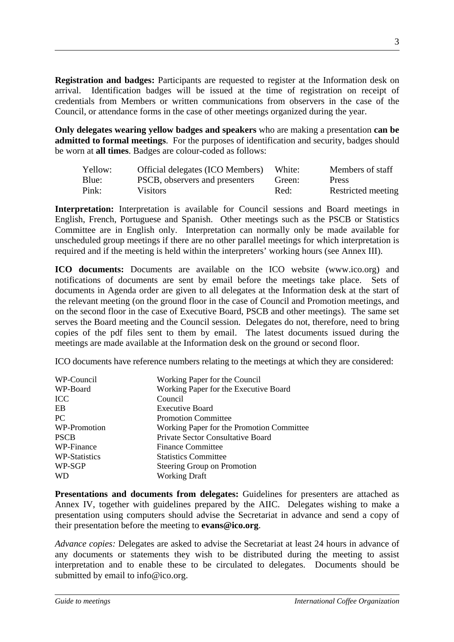**Registration and badges:** Participants are requested to register at the Information desk on arrival. Identification badges will be issued at the time of registration on receipt of credentials from Members or written communications from observers in the case of the Council, or attendance forms in the case of other meetings organized during the year.

**Only delegates wearing yellow badges and speakers** who are making a presentation **can be admitted to formal meetings**. For the purposes of identification and security, badges should be worn at **all times**. Badges are colour-coded as follows:

| Yellow: | Official delegates (ICO Members) | White: | Members of staff   |
|---------|----------------------------------|--------|--------------------|
| Blue:   | PSCB, observers and presenters   | Green: | Press              |
| Pink:   | <b>Visitors</b>                  | Red:   | Restricted meeting |

**Interpretation:** Interpretation is available for Council sessions and Board meetings in English, French, Portuguese and Spanish. Other meetings such as the PSCB or Statistics Committee are in English only. Interpretation can normally only be made available for unscheduled group meetings if there are no other parallel meetings for which interpretation is required and if the meeting is held within the interpreters' working hours (see Annex III).

**ICO documents:** Documents are available on the ICO website (www.ico.org) and notifications of documents are sent by email before the meetings take place. Sets of documents in Agenda order are given to all delegates at the Information desk at the start of the relevant meeting (on the ground floor in the case of Council and Promotion meetings, and on the second floor in the case of Executive Board, PSCB and other meetings). The same set serves the Board meeting and the Council session. Delegates do not, therefore, need to bring copies of the pdf files sent to them by email. The latest documents issued during the meetings are made available at the Information desk on the ground or second floor.

ICO documents have reference numbers relating to the meetings at which they are considered:

| WP-Council           | Working Paper for the Council             |
|----------------------|-------------------------------------------|
| WP-Board             | Working Paper for the Executive Board     |
| <b>ICC</b>           | Council                                   |
| EB.                  | <b>Executive Board</b>                    |
| PC.                  | <b>Promotion Committee</b>                |
| WP-Promotion         | Working Paper for the Promotion Committee |
| <b>PSCB</b>          | <b>Private Sector Consultative Board</b>  |
| WP-Finance           | <b>Finance Committee</b>                  |
| <b>WP-Statistics</b> | <b>Statistics Committee</b>               |
| WP-SGP               | Steering Group on Promotion               |
| WD                   | <b>Working Draft</b>                      |

**Presentations and documents from delegates:** Guidelines for presenters are attached as Annex IV, together with guidelines prepared by the AIIC. Delegates wishing to make a presentation using computers should advise the Secretariat in advance and send a copy of their presentation before the meeting to **evans@ico.org**.

*Advance copies:* Delegates are asked to advise the Secretariat at least 24 hours in advance of any documents or statements they wish to be distributed during the meeting to assist interpretation and to enable these to be circulated to delegates. Documents should be submitted by email to info@ico.org.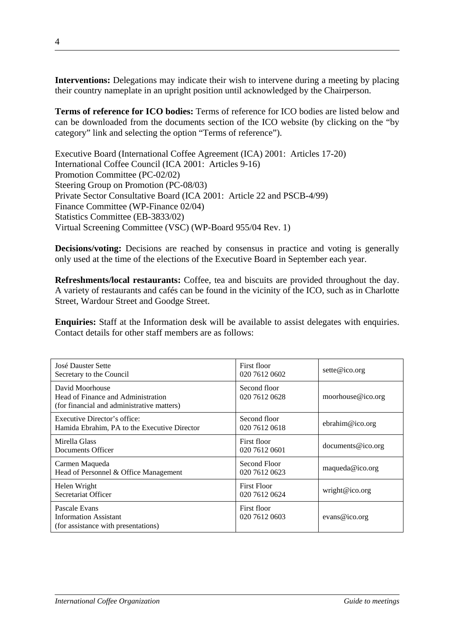**Interventions:** Delegations may indicate their wish to intervene during a meeting by placing their country nameplate in an upright position until acknowledged by the Chairperson.

**Terms of reference for ICO bodies:** Terms of reference for ICO bodies are listed below and can be downloaded from the documents section of the ICO website (by clicking on the "by category" link and selecting the option "Terms of reference").

Executive Board (International Coffee Agreement (ICA) 2001: Articles 17-20) International Coffee Council (ICA 2001: Articles 9-16) Promotion Committee (PC-02/02) Steering Group on Promotion (PC-08/03) Private Sector Consultative Board (ICA 2001: Article 22 and PSCB-4/99) Finance Committee (WP-Finance 02/04) Statistics Committee (EB-3833/02) Virtual Screening Committee (VSC) (WP-Board 955/04 Rev. 1)

**Decisions/voting:** Decisions are reached by consensus in practice and voting is generally only used at the time of the elections of the Executive Board in September each year.

**Refreshments/local restaurants:** Coffee, tea and biscuits are provided throughout the day. A variety of restaurants and cafés can be found in the vicinity of the ICO, such as in Charlotte Street, Wardour Street and Goodge Street.

**Enquiries:** Staff at the Information desk will be available to assist delegates with enquiries. Contact details for other staff members are as follows:

| <b>José Dauster Sette</b><br>Secretary to the Council                                               | First floor<br>020 7612 0602        | sette@ico.org          |
|-----------------------------------------------------------------------------------------------------|-------------------------------------|------------------------|
| David Moorhouse<br>Head of Finance and Administration<br>(for financial and administrative matters) | Second floor<br>020 7612 0628       | moorhouse@ico.org      |
| Executive Director's office:<br>Hamida Ebrahim, PA to the Executive Director                        | Second floor<br>020 7612 0618       | $e^{binim@ico.org}$    |
| Mirella Glass<br>Documents Officer                                                                  | First floor<br>020 7612 0601        | $d$ ocuments @ ico.org |
| Carmen Maqueda<br>Head of Personnel & Office Management                                             | Second Floor<br>020 7612 0623       | maqueda@ico.org        |
| Helen Wright<br>Secretariat Officer                                                                 | <b>First Floor</b><br>020 7612 0624 | wright@ico.org         |
| Pascale Evans<br><b>Information Assistant</b><br>(for assistance with presentations)                | First floor<br>020 7612 0603        | evans@ico.org          |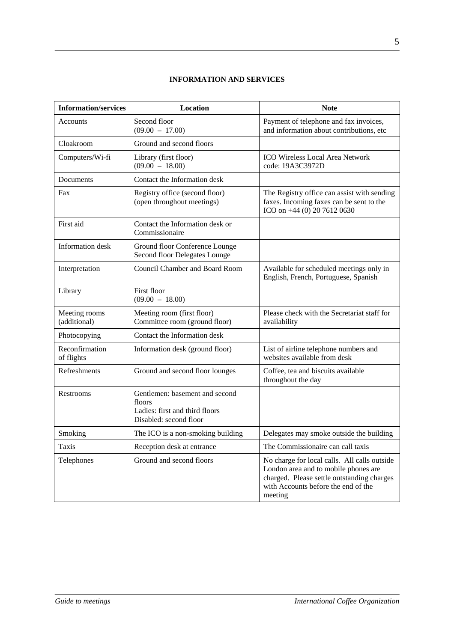# **INFORMATION AND SERVICES**

| <b>Information/services</b>   | Location                                                                                             | <b>Note</b>                                                                                                                                                                          |
|-------------------------------|------------------------------------------------------------------------------------------------------|--------------------------------------------------------------------------------------------------------------------------------------------------------------------------------------|
| Accounts                      | Second floor<br>$(09.00 - 17.00)$                                                                    | Payment of telephone and fax invoices,<br>and information about contributions, etc                                                                                                   |
| Cloakroom                     | Ground and second floors                                                                             |                                                                                                                                                                                      |
| Computers/Wi-fi               | Library (first floor)<br>$(09.00 - 18.00)$                                                           | ICO Wireless Local Area Network<br>code: 19A3C3972D                                                                                                                                  |
| Documents                     | Contact the Information desk                                                                         |                                                                                                                                                                                      |
| Fax                           | Registry office (second floor)<br>(open throughout meetings)                                         | The Registry office can assist with sending<br>faxes. Incoming faxes can be sent to the<br>ICO on +44 (0) 20 7612 0630                                                               |
| First aid                     | Contact the Information desk or<br>Commissionaire                                                    |                                                                                                                                                                                      |
| Information desk              | Ground floor Conference Lounge<br>Second floor Delegates Lounge                                      |                                                                                                                                                                                      |
| Interpretation                | <b>Council Chamber and Board Room</b>                                                                | Available for scheduled meetings only in<br>English, French, Portuguese, Spanish                                                                                                     |
| Library                       | First floor<br>$(09.00 - 18.00)$                                                                     |                                                                                                                                                                                      |
| Meeting rooms<br>(additional) | Meeting room (first floor)<br>Committee room (ground floor)                                          | Please check with the Secretariat staff for<br>availability                                                                                                                          |
| Photocopying                  | Contact the Information desk                                                                         |                                                                                                                                                                                      |
| Reconfirmation<br>of flights  | Information desk (ground floor)                                                                      | List of airline telephone numbers and<br>websites available from desk                                                                                                                |
| Refreshments                  | Ground and second floor lounges                                                                      | Coffee, tea and biscuits available<br>throughout the day                                                                                                                             |
| Restrooms                     | Gentlemen: basement and second<br>floors<br>Ladies: first and third floors<br>Disabled: second floor |                                                                                                                                                                                      |
| Smoking                       | The ICO is a non-smoking building                                                                    | Delegates may smoke outside the building                                                                                                                                             |
| Taxis                         | Reception desk at entrance                                                                           | The Commissionaire can call taxis                                                                                                                                                    |
| Telephones                    | Ground and second floors                                                                             | No charge for local calls. All calls outside<br>London area and to mobile phones are<br>charged. Please settle outstanding charges<br>with Accounts before the end of the<br>meeting |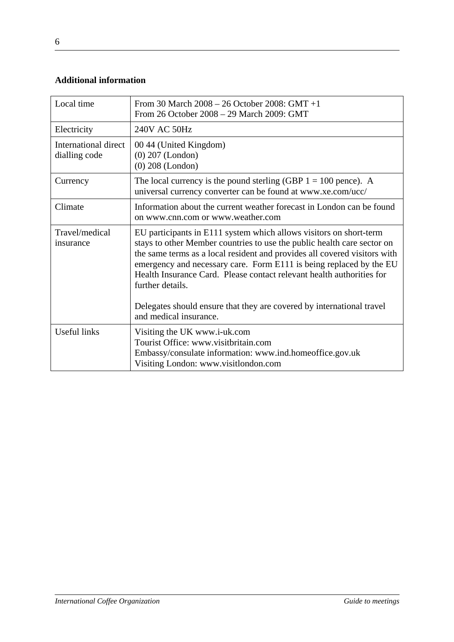# **Additional information**

| Local time                            | From 30 March 2008 - 26 October 2008: GMT +1<br>From 26 October 2008 – 29 March 2009: GMT                                                                                                                                                                                                                                                                                                                                                                                                         |
|---------------------------------------|---------------------------------------------------------------------------------------------------------------------------------------------------------------------------------------------------------------------------------------------------------------------------------------------------------------------------------------------------------------------------------------------------------------------------------------------------------------------------------------------------|
| Electricity                           | 240V AC 50Hz                                                                                                                                                                                                                                                                                                                                                                                                                                                                                      |
| International direct<br>dialling code | 00 44 (United Kingdom)<br>$(0)$ 207 (London)<br>$(0)$ 208 (London)                                                                                                                                                                                                                                                                                                                                                                                                                                |
| Currency                              | The local currency is the pound sterling (GBP $1 = 100$ pence). A<br>universal currency converter can be found at www.xe.com/ucc/                                                                                                                                                                                                                                                                                                                                                                 |
| Climate                               | Information about the current weather forecast in London can be found<br>on www.cnn.com or www.weather.com                                                                                                                                                                                                                                                                                                                                                                                        |
| Travel/medical<br>insurance           | EU participants in E111 system which allows visitors on short-term<br>stays to other Member countries to use the public health care sector on<br>the same terms as a local resident and provides all covered visitors with<br>emergency and necessary care. Form E111 is being replaced by the EU<br>Health Insurance Card. Please contact relevant health authorities for<br>further details.<br>Delegates should ensure that they are covered by international travel<br>and medical insurance. |
| <b>Useful links</b>                   | Visiting the UK www.i-uk.com<br>Tourist Office: www.visitbritain.com<br>Embassy/consulate information: www.ind.homeoffice.gov.uk<br>Visiting London: www.visitlondon.com                                                                                                                                                                                                                                                                                                                          |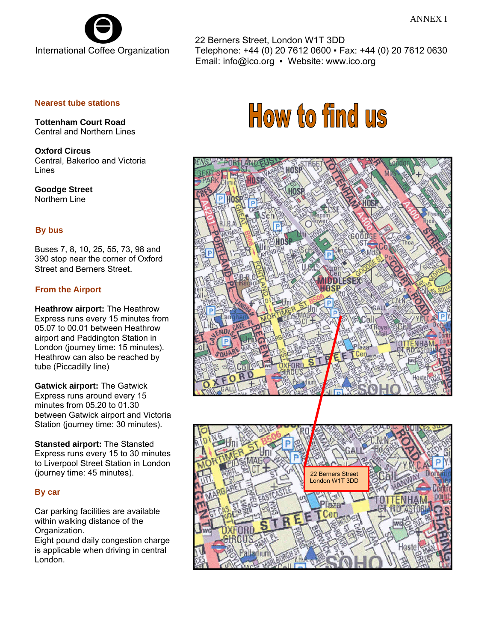

22 Berners Street, London W1T 3DD Telephone: +44 (0) 20 7612 0600 ▪ Fax: +44 (0) 20 7612 0630 Email: info@ico.org • Website: www.ico.org

## **Nearest tube stations**

 **Tottenham Court Road**  Central and Northern Lines

 **Oxford Circus**  Central, Bakerloo and Victoria Lines

 **Goodge Street**  Northern Line

# **By bus**

 Buses 7, 8, 10, 25, 55, 73, 98 and 390 stop near the corner of Oxford Street and Berners Street.

# **From the Airport**

**Heathrow airport:** The Heathrow Express runs every 15 minutes from 05.07 to 00.01 between Heathrow airport and Paddington Station in London (journey time: 15 minutes). Heathrow can also be reached by tube (Piccadilly line)

**Gatwick airport:** The Gatwick Express runs around every 15 minutes from 05.20 to 01.30 between Gatwick airport and Victoria Station (journey time: 30 minutes).

**Stansted airport:** The Stansted Express runs every 15 to 30 minutes to Liverpool Street Station in London (journey time: 45 minutes).

## **By car**

Car parking facilities are available within walking distance of the Organization. Eight pound daily congestion charge is applicable when driving in central London.

# How to find us



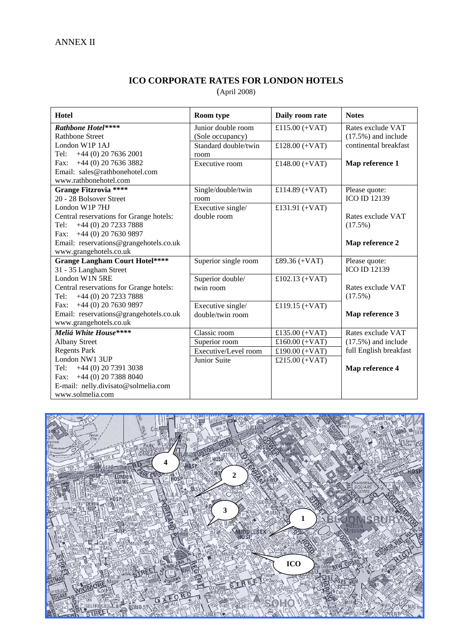# **ICO CORPORATE RATES FOR LONDON HOTELS**

(April 2008)

| <b>Hotel</b>                            | <b>Room</b> type     | Daily room rate  | <b>Notes</b>           |
|-----------------------------------------|----------------------|------------------|------------------------|
| Rathbone Hotel****                      | Junior double room   | £115.00 $(+VAT)$ | Rates exclude VAT      |
| <b>Rathbone Street</b>                  | (Sole occupancy)     |                  | $(17.5\%)$ and include |
| London W1P 1AJ                          | Standard double/twin | £128.00 $(+VAT)$ | continental breakfast  |
| $+44$ (0) 20 7636 2001<br>Tel:          | room                 |                  |                        |
| $+44$ (0) 20 7636 3882<br>Fax:          | Executive room       | £148.00 $(+VAT)$ | Map reference 1        |
| Email: sales@rathbonehotel.com          |                      |                  |                        |
| www.rathbonehotel.com                   |                      |                  |                        |
| <b>Grange Fitzrovia ****</b>            | Single/double/twin   | £114.89 $(+VAT)$ | Please quote:          |
| 20 - 28 Bolsover Street                 | room                 |                  | <b>ICO ID 12139</b>    |
| London W1P 7HJ                          | Executive single/    | £131.91 $(+VAT)$ |                        |
| Central reservations for Grange hotels: | double room          |                  | Rates exclude VAT      |
| +44 (0) 20 7233 7888<br>Tel:            |                      |                  | (17.5%)                |
| +44 (0) 20 7630 9897<br>Fax:            |                      |                  |                        |
| Email: reservations@grangehotels.co.uk  |                      |                  | Map reference 2        |
| www.grangehotels.co.uk                  |                      |                  |                        |
| <b>Grange Langham Court Hotel****</b>   | Superior single room | £89.36 (+VAT)    | Please quote:          |
| 31 - 35 Langham Street                  |                      |                  | <b>ICO ID 12139</b>    |
| London W1N 5RE                          | Superior double/     | £102.13 $(+VAT)$ |                        |
| Central reservations for Grange hotels: | twin room            |                  | Rates exclude VAT      |
| +44 (0) 20 7233 7888<br>Tel:            |                      |                  | (17.5%)                |
| Fax: $+44$ (0) 20 7630 9897             | Executive single/    | £119.15 $(+VAT)$ |                        |
| Email: reservations@grangehotels.co.uk  | double/twin room     |                  | Map reference 3        |
| www.grangehotels.co.uk                  |                      |                  |                        |
| Meliá White House****                   | Classic room         | £135.00 $(+VAT)$ | Rates exclude VAT      |
| <b>Albany Street</b>                    | Superior room        | £160.00 $(+VAT)$ | $(17.5\%)$ and include |
| <b>Regents Park</b>                     | Executive/Level room | £190.00 $(+VAT)$ | full English breakfast |
| London NW1 3UP                          | Junior Suite         | £215.00 $(+VAT)$ |                        |
| +44 (0) 20 7391 3038<br>Tel:            |                      |                  | Map reference 4        |
| $+44$ (0) 20 7388 8040<br>Fax:          |                      |                  |                        |
| E-mail: nelly.divisato@solmelia.com     |                      |                  |                        |
| www.solmelia.com                        |                      |                  |                        |

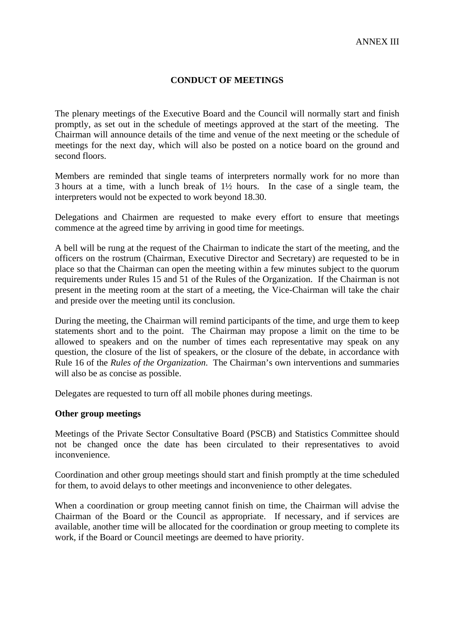# **CONDUCT OF MEETINGS**

The plenary meetings of the Executive Board and the Council will normally start and finish promptly, as set out in the schedule of meetings approved at the start of the meeting. The Chairman will announce details of the time and venue of the next meeting or the schedule of meetings for the next day, which will also be posted on a notice board on the ground and second floors.

Members are reminded that single teams of interpreters normally work for no more than 3 hours at a time, with a lunch break of 1½ hours. In the case of a single team, the interpreters would not be expected to work beyond 18.30.

Delegations and Chairmen are requested to make every effort to ensure that meetings commence at the agreed time by arriving in good time for meetings.

A bell will be rung at the request of the Chairman to indicate the start of the meeting, and the officers on the rostrum (Chairman, Executive Director and Secretary) are requested to be in place so that the Chairman can open the meeting within a few minutes subject to the quorum requirements under Rules 15 and 51 of the Rules of the Organization. If the Chairman is not present in the meeting room at the start of a meeting, the Vice-Chairman will take the chair and preside over the meeting until its conclusion.

During the meeting, the Chairman will remind participants of the time, and urge them to keep statements short and to the point. The Chairman may propose a limit on the time to be allowed to speakers and on the number of times each representative may speak on any question, the closure of the list of speakers, or the closure of the debate, in accordance with Rule 16 of the *Rules of the Organization*. The Chairman's own interventions and summaries will also be as concise as possible.

Delegates are requested to turn off all mobile phones during meetings.

# **Other group meetings**

Meetings of the Private Sector Consultative Board (PSCB) and Statistics Committee should not be changed once the date has been circulated to their representatives to avoid inconvenience.

Coordination and other group meetings should start and finish promptly at the time scheduled for them, to avoid delays to other meetings and inconvenience to other delegates.

When a coordination or group meeting cannot finish on time, the Chairman will advise the Chairman of the Board or the Council as appropriate. If necessary, and if services are available, another time will be allocated for the coordination or group meeting to complete its work, if the Board or Council meetings are deemed to have priority.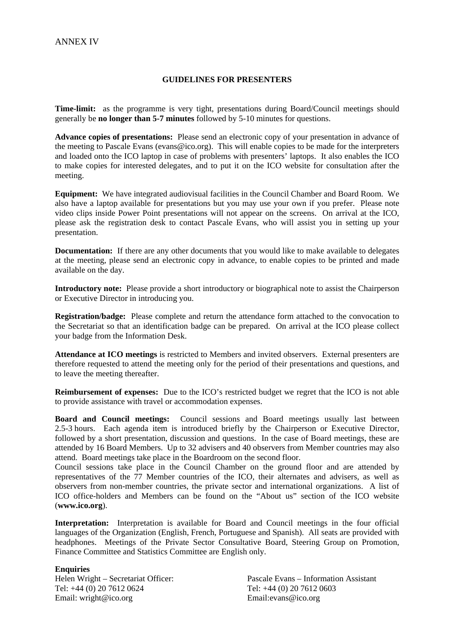## **GUIDELINES FOR PRESENTERS**

**Time-limit:** as the programme is very tight, presentations during Board/Council meetings should generally be **no longer than 5-7 minutes** followed by 5-10 minutes for questions.

**Advance copies of presentations:** Please send an electronic copy of your presentation in advance of the meeting to Pascale Evans (evans@ico.org). This will enable copies to be made for the interpreters and loaded onto the ICO laptop in case of problems with presenters' laptops. It also enables the ICO to make copies for interested delegates, and to put it on the ICO website for consultation after the meeting.

**Equipment:** We have integrated audiovisual facilities in the Council Chamber and Board Room. We also have a laptop available for presentations but you may use your own if you prefer. Please note video clips inside Power Point presentations will not appear on the screens. On arrival at the ICO, please ask the registration desk to contact Pascale Evans, who will assist you in setting up your presentation.

**Documentation:** If there are any other documents that you would like to make available to delegates at the meeting, please send an electronic copy in advance, to enable copies to be printed and made available on the day.

**Introductory note:** Please provide a short introductory or biographical note to assist the Chairperson or Executive Director in introducing you.

**Registration/badge:** Please complete and return the attendance form attached to the convocation to the Secretariat so that an identification badge can be prepared. On arrival at the ICO please collect your badge from the Information Desk.

**Attendance at ICO meetings** is restricted to Members and invited observers. External presenters are therefore requested to attend the meeting only for the period of their presentations and questions, and to leave the meeting thereafter.

**Reimbursement of expenses:** Due to the ICO's restricted budget we regret that the ICO is not able to provide assistance with travel or accommodation expenses.

**Board and Council meetings:** Council sessions and Board meetings usually last between 2.5-3 hours. Each agenda item is introduced briefly by the Chairperson or Executive Director, followed by a short presentation, discussion and questions. In the case of Board meetings, these are attended by 16 Board Members. Up to 32 advisers and 40 observers from Member countries may also attend. Board meetings take place in the Boardroom on the second floor.

Council sessions take place in the Council Chamber on the ground floor and are attended by representatives of the 77 Member countries of the ICO, their alternates and advisers, as well as observers from non-member countries, the private sector and international organizations. A list of ICO office-holders and Members can be found on the "About us" section of the ICO website (**www.ico.org**).

**Interpretation:** Interpretation is available for Board and Council meetings in the four official languages of the Organization (English, French, Portuguese and Spanish). All seats are provided with headphones. Meetings of the Private Sector Consultative Board, Steering Group on Promotion, Finance Committee and Statistics Committee are English only.

## **Enquiries**

Email: wright@ico.org Email:evans@ico.org

Helen Wright – Secretariat Officer: Pascale Evans – Information Assistant<br>Tel: +44 (0) 20 7612 0624 Tel: +44 (0) 20 7612 0603 Tel: +44 (0) 20 7612 0603